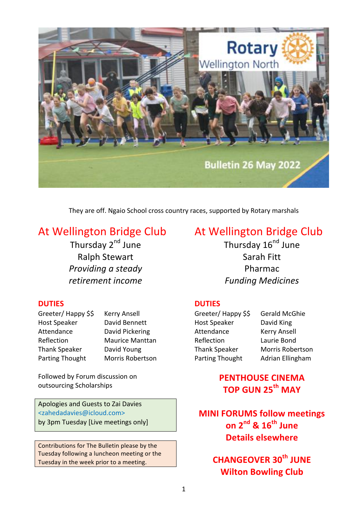

They are off. Ngaio School cross country races, supported by Rotary marshals

# At Wellington Bridge Club

Thursday 2<sup>nd</sup> June Ralph Stewart **Providing a steady** *retirement income*

# At Wellington Bridge Club

Thursday 16<sup>nd</sup> June Sarah Fitt Pharmac *Funding Medicines*

# **DUTIES**

Host Speaker David King Attendance Kerry Ansell Reflection Laurie Bond

Greeter/ Happy \$\$ Gerald McGhie Thank Speaker Morris Robertson Parting Thought Adrian Ellingham

# **PENTHOUSE CINEMA TOP GUN 25th MAY**

**MINI FORUMS follow meetings on 2nd & 16th June Details elsewhere** 

> **CHANGEOVER 30th JUNE Wilton Bowling Club**

# **DUTIES**

Greeter/ Happy \$\$ Kerry Ansell Host Speaker David Bennett Attendance David Pickering Thank Speaker David Young Parting Thought Morris Robertson

Reflection Maurice Manttan

Followed by Forum discussion on outsourcing Scholarships

Apologies and Guests to Zai Davies <zahedadavies@icloud.com> by 3pm Tuesday [Live meetings only]

Contributions for The Bulletin please by the Tuesday following a luncheon meeting or the Tuesday in the week prior to a meeting.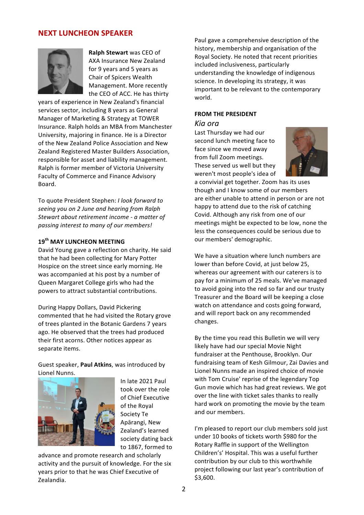# **NEXT LUNCHEON SPEAKER**



**Ralph Stewart** was CEO of AXA Insurance New Zealand for 9 years and 5 years as Chair of Spicers Wealth Management. More recently the CEO of ACC. He has thirty

years of experience in New Zealand's financial services sector, including 8 years as General Manager of Marketing & Strategy at TOWER Insurance. Ralph holds an MBA from Manchester University, majoring in finance. He is a Director of the New Zealand Police Association and New Zealand Registered Master Builders Association, responsible for asset and liability management. Ralph is former member of Victoria University Faculty of Commerce and Finance Advisory Board.

To quote President Stephen: *I look forward to* seeing you on 2 June and hearing from Ralph Stewart about retirement income - a matter of passing interest to many of our members!

### **19th MAY LUNCHEON MEETING**

David Young gave a reflection on charity. He said that he had been collecting for Mary Potter Hospice on the street since early morning. He was accompanied at his post by a number of Queen Margaret College girls who had the powers to attract substantial contributions.

During Happy Dollars, David Pickering commented that he had visited the Rotary grove of trees planted in the Botanic Gardens 7 years ago. He observed that the trees had produced their first acorns. Other notices appear as separate items.

Guest speaker, Paul Atkins, was introduced by Lionel Nunns.



In late 2021 Paul took over the role of Chief Executive of the Royal Society Te Apārangi, New Zealand's learned society dating back to 1867, formed to

advance and promote research and scholarly activity and the pursuit of knowledge. For the six years prior to that he was Chief Executive of Zealandia.

Paul gave a comprehensive description of the history, membership and organisation of the Royal Society. He noted that recent priorities included inclusiveness, particularly understanding the knowledge of indigenous science. In developing its strategy, it was important to be relevant to the contemporary world. 

#### **FROM THE PRESIDENT**

#### *Kia ora*

Last Thursday we had our second lunch meeting face to face since we moved away from full Zoom meetings. These served us well but they weren't most people's idea of



a convivial get together. Zoom has its uses though and I know some of our members are either unable to attend in person or are not happy to attend due to the risk of catching Covid. Although any risk from one of our meetings might be expected to be low, none the less the consequences could be serious due to our members' demographic.

We have a situation where lunch numbers are lower than before Covid, at just below 25, whereas our agreement with our caterers is to pay for a minimum of 25 meals. We've managed to avoid going into the red so far and our trusty Treasurer and the Board will be keeping a close watch on attendance and costs going forward. and will report back on any recommended changes.

By the time you read this Bulletin we will very likely have had our special Movie Night fundraiser at the Penthouse, Brooklyn. Our fundraising team of Kesh Gilmour, Zai Davies and Lionel Nunns made an inspired choice of movie with Tom Cruise' reprise of the legendary Top Gun movie which has had great reviews. We got over the line with ticket sales thanks to really hard work on promoting the movie by the team and our members.

I'm pleased to report our club members sold just under 10 books of tickets worth \$980 for the Rotary Raffle in support of the Wellington Children's' Hospital. This was a useful further contribution by our club to this worthwhile project following our last year's contribution of \$3,600.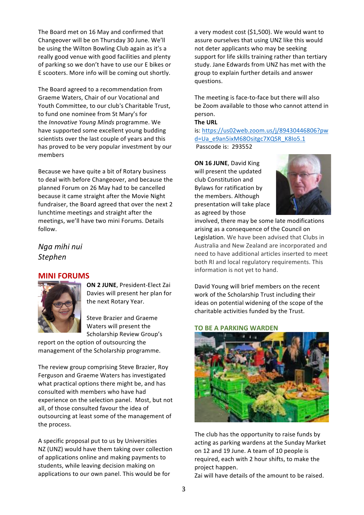The Board met on 16 May and confirmed that Changeover will be on Thursday 30 June. We'll be using the Wilton Bowling Club again as it's a really good venue with good facilities and plenty of parking so we don't have to use our E bikes or E scooters. More info will be coming out shortly.

The Board agreed to a recommendation from Graeme Waters, Chair of our Vocational and Youth Committee, to our club's Charitable Trust. to fund one nominee from St Mary's for the *Innovative Young Minds* programme. We have supported some excellent young budding scientists over the last couple of years and this has proved to be very popular investment by our members 

Because we have quite a bit of Rotary business to deal with before Changeover, and because the planned Forum on 26 May had to be cancelled because it came straight after the Movie Night fundraiser, the Board agreed that over the next 2 lunchtime meetings and straight after the meetings, we'll have two mini Forums. Details follow.

*Nga mihi nui Stephen*

## **MINI FORUMS**



**ON 2 JUNE, President-Elect Zai** Davies will present her plan for the next Rotary Year.

Steve Brazier and Graeme Waters will present the Scholarship Review Group's

report on the option of outsourcing the management of the Scholarship programme.

The review group comprising Steve Brazier, Roy Ferguson and Graeme Waters has investigated what practical options there might be, and has consulted with members who have had experience on the selection panel. Most, but not all, of those consulted favour the idea of outsourcing at least some of the management of the process.

A specific proposal put to us by Universities NZ (UNZ) would have them taking over collection of applications online and making payments to students, while leaving decision making on applications to our own panel. This would be for

a very modest cost (\$1,500). We would want to assure ourselves that using UNZ like this would not deter applicants who may be seeking support for life skills training rather than tertiary study. Jane Edwards from UNZ has met with the group to explain further details and answer questions.

The meeting is face-to-face but there will also be Zoom available to those who cannot attend in person.

#### **The URL**

is: https://us02web.zoom.us/j/89430446806?pw d=Ua\_e9an5ixM68Ositgc7XQSR\_K8Io5.1 Passcode is: 293552

**ON 16 JUNE, David King** will present the updated club Constitution and Bylaws for ratification by the members. Although presentation will take place as agreed by those



involved, there may be some late modifications arising as a consequence of the Council on Legislation. We have been advised that Clubs in Australia and New Zealand are incorporated and need to have additional articles inserted to meet both RI and local regulatory requirements. This information is not yet to hand.

David Young will brief members on the recent work of the Scholarship Trust including their ideas on potential widening of the scope of the charitable activities funded by the Trust.

#### **TO BE A PARKING WARDEN**



The club has the opportunity to raise funds by acting as parking wardens at the Sunday Market on 12 and 19 June. A team of 10 people is required, each with 2 hour shifts, to make the project happen.

Zai will have details of the amount to be raised.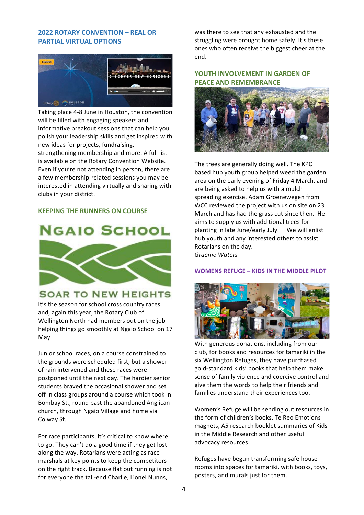### **2022 ROTARY CONVENTION – REAL OR PARTIAL VIRTUAL OPTIONS**



Taking place 4-8 June in Houston, the convention will be filled with engaging speakers and informative breakout sessions that can help you polish your leadership skills and get inspired with new ideas for projects, fundraising, strengthening membership and more. A full list

is available on the Rotary Convention Website. Even if you're not attending in person, there are a few membership-related sessions you may be interested in attending virtually and sharing with clubs in your district.

## **KEEPING THE RUNNERS ON COURSE**



# **SOAR TO NEW HEIGHTS**

It's the season for school cross country races and, again this year, the Rotary Club of Wellington North had members out on the job helping things go smoothly at Ngaio School on 17 May.

Junior school races, on a course constrained to the grounds were scheduled first, but a shower of rain intervened and these races were postponed until the next day. The hardier senior students braved the occasional shower and set off in class groups around a course which took in Bombay St., round past the abandoned Anglican church, through Ngaio Village and home via Colway St.

For race participants, it's critical to know where to go. They can't do a good time if they get lost along the way. Rotarians were acting as race marshals at key points to keep the competitors on the right track. Because flat out running is not for everyone the tail-end Charlie, Lionel Nunns,

was there to see that any exhausted and the struggling were brought home safely. It's these ones who often receive the biggest cheer at the end.

# **YOUTH INVOLVEMENT IN GARDEN OF PEACE AND REMEMBRANCE**



The trees are generally doing well. The KPC based hub youth group helped weed the garden area on the early evening of Friday 4 March, and are being asked to help us with a mulch spreading exercise. Adam Groenewegen from WCC reviewed the project with us on site on 23 March and has had the grass cut since then. He aims to supply us with additional trees for planting in late June/early July. We will enlist hub vouth and any interested others to assist Rotarians on the day. *Graeme Waters*

#### **WOMENS REFUGE – KIDS IN THE MIDDLE PILOT**



With generous donations, including from our club, for books and resources for tamariki in the six Wellington Refuges, they have purchased gold-standard kids' books that help them make sense of family violence and coercive control and give them the words to help their friends and families understand their experiences too.

Women's Refuge will be sending out resources in the form of children's books, Te Reo Emotions magnets, A5 research booklet summaries of Kids in the Middle Research and other useful advocacy resources.

Refuges have begun transforming safe house rooms into spaces for tamariki, with books, toys, posters, and murals just for them.